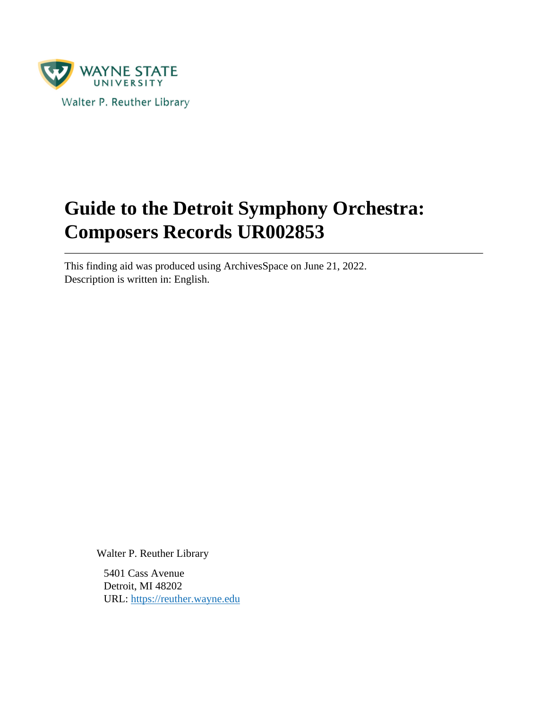

# **Guide to the Detroit Symphony Orchestra: Composers Records UR002853**

This finding aid was produced using ArchivesSpace on June 21, 2022. Description is written in: English.

Walter P. Reuther Library

5401 Cass Avenue Detroit, MI 48202 URL:<https://reuther.wayne.edu>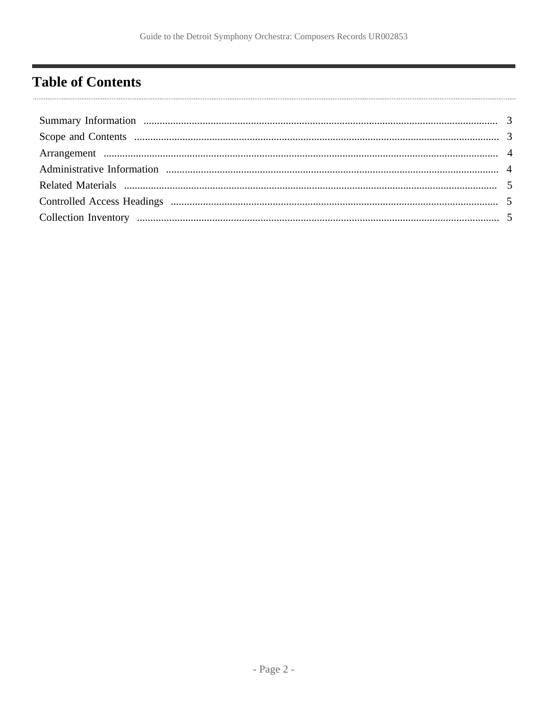# <span id="page-1-0"></span>**Table of Contents**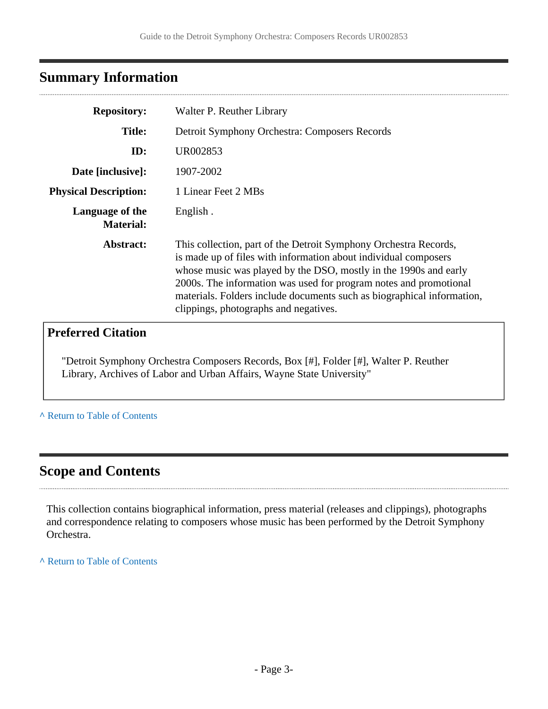## <span id="page-2-0"></span>**Summary Information**

| <b>Repository:</b>                  | Walter P. Reuther Library                                                                                                                                                                                                                                                                                                                                                                       |
|-------------------------------------|-------------------------------------------------------------------------------------------------------------------------------------------------------------------------------------------------------------------------------------------------------------------------------------------------------------------------------------------------------------------------------------------------|
| <b>Title:</b>                       | Detroit Symphony Orchestra: Composers Records                                                                                                                                                                                                                                                                                                                                                   |
| ID:                                 | UR002853                                                                                                                                                                                                                                                                                                                                                                                        |
| Date [inclusive]:                   | 1907-2002                                                                                                                                                                                                                                                                                                                                                                                       |
| <b>Physical Description:</b>        | 1 Linear Feet 2 MBs                                                                                                                                                                                                                                                                                                                                                                             |
| Language of the<br><b>Material:</b> | English.                                                                                                                                                                                                                                                                                                                                                                                        |
| Abstract:                           | This collection, part of the Detroit Symphony Orchestra Records,<br>is made up of files with information about individual composers<br>whose music was played by the DSO, mostly in the 1990s and early<br>2000s. The information was used for program notes and promotional<br>materials. Folders include documents such as biographical information,<br>clippings, photographs and negatives. |
|                                     |                                                                                                                                                                                                                                                                                                                                                                                                 |

### **Preferred Citation**

"Detroit Symphony Orchestra Composers Records, Box [#], Folder [#], Walter P. Reuther Library, Archives of Labor and Urban Affairs, Wayne State University"

**^** [Return to Table of Contents](#page-1-0)

### <span id="page-2-1"></span>**Scope and Contents**

This collection contains biographical information, press material (releases and clippings), photographs and correspondence relating to composers whose music has been performed by the Detroit Symphony Orchestra.

**^** [Return to Table of Contents](#page-1-0)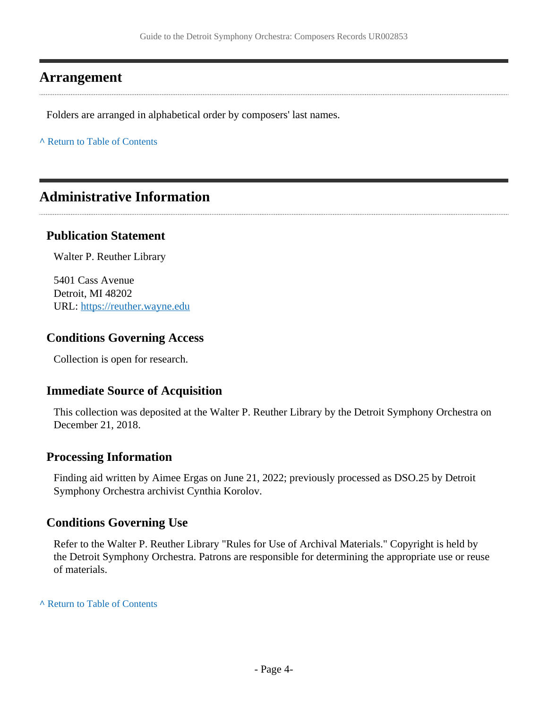### <span id="page-3-0"></span>**Arrangement**

Folders are arranged in alphabetical order by composers' last names.

**^** [Return to Table of Contents](#page-1-0)

### <span id="page-3-1"></span>**Administrative Information**

#### **Publication Statement**

Walter P. Reuther Library

5401 Cass Avenue Detroit, MI 48202 URL:<https://reuther.wayne.edu>

#### **Conditions Governing Access**

Collection is open for research.

#### **Immediate Source of Acquisition**

This collection was deposited at the Walter P. Reuther Library by the Detroit Symphony Orchestra on December 21, 2018.

#### **Processing Information**

Finding aid written by Aimee Ergas on June 21, 2022; previously processed as DSO.25 by Detroit Symphony Orchestra archivist Cynthia Korolov.

#### **Conditions Governing Use**

Refer to the Walter P. Reuther Library "Rules for Use of Archival Materials." Copyright is held by the Detroit Symphony Orchestra. Patrons are responsible for determining the appropriate use or reuse of materials.

#### **^** [Return to Table of Contents](#page-1-0)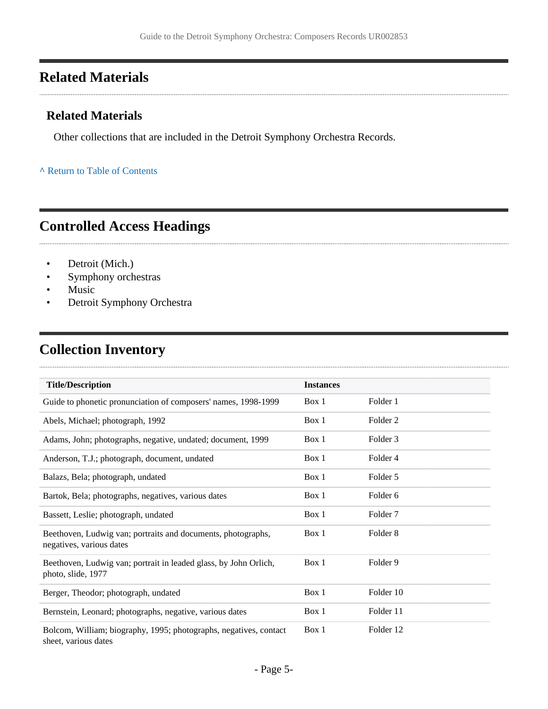## <span id="page-4-0"></span>**Related Materials**

#### **Related Materials**

Other collections that are included in the Detroit Symphony Orchestra Records.

#### **^** [Return to Table of Contents](#page-1-0)

## <span id="page-4-1"></span>**Controlled Access Headings**

- Detroit (Mich.)
- Symphony orchestras
- Music
- Detroit Symphony Orchestra

### <span id="page-4-2"></span>**Collection Inventory**

| <b>Title/Description</b>                                                                  | <b>Instances</b> |                     |
|-------------------------------------------------------------------------------------------|------------------|---------------------|
| Guide to phonetic pronunciation of composers' names, 1998-1999                            | Box 1            | Folder 1            |
| Abels, Michael; photograph, 1992                                                          | Box 1            | Folder 2            |
| Adams, John; photographs, negative, undated; document, 1999                               | Box 1            | Folder 3            |
| Anderson, T.J.; photograph, document, undated                                             | Box 1            | Folder 4            |
| Balazs, Bela; photograph, undated                                                         | Box 1            | Folder 5            |
| Bartok, Bela; photographs, negatives, various dates                                       | Box 1            | Folder 6            |
| Bassett, Leslie; photograph, undated                                                      | Box 1            | Folder <sub>7</sub> |
| Beethoven, Ludwig van; portraits and documents, photographs,<br>negatives, various dates  | Box 1            | Folder 8            |
| Beethoven, Ludwig van; portrait in leaded glass, by John Orlich,<br>photo, slide, 1977    | Box 1            | Folder 9            |
| Berger, Theodor; photograph, undated                                                      | Box 1            | Folder 10           |
| Bernstein, Leonard; photographs, negative, various dates                                  | Box 1            | Folder 11           |
| Bolcom, William; biography, 1995; photographs, negatives, contact<br>sheet, various dates | Box 1            | Folder 12           |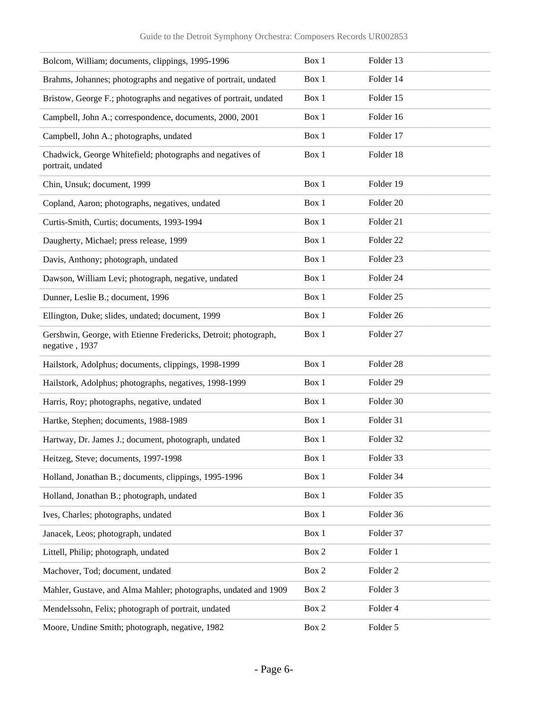| Bolcom, William; documents, clippings, 1995-1996                                  | Box 1 | Folder 13            |
|-----------------------------------------------------------------------------------|-------|----------------------|
| Brahms, Johannes; photographs and negative of portrait, undated                   | Box 1 | Folder 14            |
| Bristow, George F.; photographs and negatives of portrait, undated                | Box 1 | Folder 15            |
| Campbell, John A.; correspondence, documents, 2000, 2001                          | Box 1 | Folder 16            |
| Campbell, John A.; photographs, undated                                           | Box 1 | Folder 17            |
| Chadwick, George Whitefield; photographs and negatives of<br>portrait, undated    | Box 1 | Folder 18            |
| Chin, Unsuk; document, 1999                                                       | Box 1 | Folder 19            |
| Copland, Aaron; photographs, negatives, undated                                   | Box 1 | Folder 20            |
| Curtis-Smith, Curtis; documents, 1993-1994                                        | Box 1 | Folder 21            |
| Daugherty, Michael; press release, 1999                                           | Box 1 | Folder <sub>22</sub> |
| Davis, Anthony; photograph, undated                                               | Box 1 | Folder 23            |
| Dawson, William Levi; photograph, negative, undated                               | Box 1 | Folder <sub>24</sub> |
| Dunner, Leslie B.; document, 1996                                                 | Box 1 | Folder <sub>25</sub> |
| Ellington, Duke; slides, undated; document, 1999                                  | Box 1 | Folder <sub>26</sub> |
| Gershwin, George, with Etienne Fredericks, Detroit; photograph,<br>negative, 1937 | Box 1 | Folder 27            |
| Hailstork, Adolphus; documents, clippings, 1998-1999                              | Box 1 | Folder 28            |
| Hailstork, Adolphus; photographs, negatives, 1998-1999                            | Box 1 | Folder 29            |
| Harris, Roy; photographs, negative, undated                                       | Box 1 | Folder 30            |
| Hartke, Stephen; documents, 1988-1989                                             | Box 1 | Folder 31            |
| Hartway, Dr. James J.; document, photograph, undated                              | Box 1 | Folder 32            |
| Heitzeg, Steve; documents, 1997-1998                                              | Box 1 | Folder 33            |
| Holland, Jonathan B.; documents, clippings, 1995-1996                             | Box 1 | Folder 34            |
| Holland, Jonathan B.; photograph, undated                                         | Box 1 | Folder 35            |
| Ives, Charles; photographs, undated                                               | Box 1 | Folder 36            |
| Janacek, Leos; photograph, undated                                                | Box 1 | Folder 37            |
| Littell, Philip; photograph, undated                                              | Box 2 | Folder 1             |
| Machover, Tod; document, undated                                                  | Box 2 | Folder <sub>2</sub>  |
| Mahler, Gustave, and Alma Mahler; photographs, undated and 1909                   | Box 2 | Folder 3             |
| Mendelssohn, Felix; photograph of portrait, undated                               | Box 2 | Folder 4             |
| Moore, Undine Smith; photograph, negative, 1982                                   | Box 2 | Folder 5             |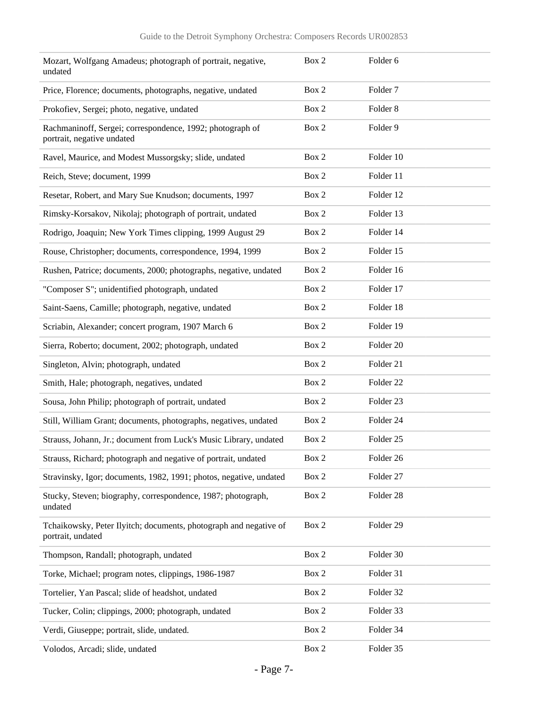| Mozart, Wolfgang Amadeus; photograph of portrait, negative,<br>undated                  | Box 2 | Folder 6             |
|-----------------------------------------------------------------------------------------|-------|----------------------|
| Price, Florence; documents, photographs, negative, undated                              | Box 2 | Folder <sub>7</sub>  |
| Prokofiev, Sergei; photo, negative, undated                                             | Box 2 | Folder <sub>8</sub>  |
| Rachmaninoff, Sergei; correspondence, 1992; photograph of<br>portrait, negative undated | Box 2 | Folder 9             |
| Ravel, Maurice, and Modest Mussorgsky; slide, undated                                   | Box 2 | Folder 10            |
| Reich, Steve; document, 1999                                                            | Box 2 | Folder 11            |
| Resetar, Robert, and Mary Sue Knudson; documents, 1997                                  | Box 2 | Folder 12            |
| Rimsky-Korsakov, Nikolaj; photograph of portrait, undated                               | Box 2 | Folder 13            |
| Rodrigo, Joaquin; New York Times clipping, 1999 August 29                               | Box 2 | Folder 14            |
| Rouse, Christopher; documents, correspondence, 1994, 1999                               | Box 2 | Folder 15            |
| Rushen, Patrice; documents, 2000; photographs, negative, undated                        | Box 2 | Folder 16            |
| "Composer S"; unidentified photograph, undated                                          | Box 2 | Folder 17            |
| Saint-Saens, Camille; photograph, negative, undated                                     | Box 2 | Folder 18            |
| Scriabin, Alexander; concert program, 1907 March 6                                      | Box 2 | Folder 19            |
| Sierra, Roberto; document, 2002; photograph, undated                                    | Box 2 | Folder <sub>20</sub> |
| Singleton, Alvin; photograph, undated                                                   | Box 2 | Folder 21            |
| Smith, Hale; photograph, negatives, undated                                             | Box 2 | Folder <sub>22</sub> |
| Sousa, John Philip; photograph of portrait, undated                                     | Box 2 | Folder <sub>23</sub> |
| Still, William Grant; documents, photographs, negatives, undated                        | Box 2 | Folder 24            |
| Strauss, Johann, Jr.; document from Luck's Music Library, undated                       | Box 2 | Folder <sub>25</sub> |
| Strauss, Richard; photograph and negative of portrait, undated                          | Box 2 | Folder 26            |
| Stravinsky, Igor; documents, 1982, 1991; photos, negative, undated                      | Box 2 | Folder 27            |
| Stucky, Steven; biography, correspondence, 1987; photograph,<br>undated                 | Box 2 | Folder 28            |
| Tchaikowsky, Peter Ilyitch; documents, photograph and negative of<br>portrait, undated  | Box 2 | Folder 29            |
| Thompson, Randall; photograph, undated                                                  | Box 2 | Folder 30            |
| Torke, Michael; program notes, clippings, 1986-1987                                     | Box 2 | Folder 31            |
| Tortelier, Yan Pascal; slide of headshot, undated                                       | Box 2 | Folder 32            |
| Tucker, Colin; clippings, 2000; photograph, undated                                     | Box 2 | Folder 33            |
| Verdi, Giuseppe; portrait, slide, undated.                                              | Box 2 | Folder 34            |
| Volodos, Arcadi; slide, undated                                                         | Box 2 | Folder 35            |